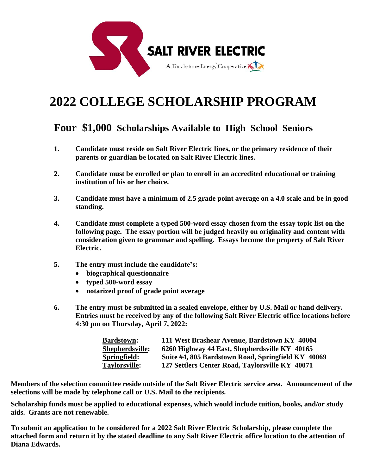

# **2022 COLLEGE SCHOLARSHIP PROGRAM**

# **Four \$1,000 Scholarships Available to High School Seniors**

- **1. Candidate must reside on Salt River Electric lines, or the primary residence of their parents or guardian be located on Salt River Electric lines.**
- **2. Candidate must be enrolled or plan to enroll in an accredited educational or training institution of his or her choice.**
- **3. Candidate must have a minimum of 2.5 grade point average on a 4.0 scale and be in good standing.**
- **4. Candidate must complete a typed 500-word essay chosen from the essay topic list on the following page. The essay portion will be judged heavily on originality and content with consideration given to grammar and spelling. Essays become the property of Salt River Electric.**
- **5. The entry must include the candidate's:**
	- **biographical questionnaire**
	- **typed 500-word essay**
	- **notarized proof of grade point average**
- **6. The entry must be submitted in a sealed envelope, either by U.S. Mail or hand delivery. Entries must be received by any of the following Salt River Electric office locations before 4:30 pm on Thursday, April 7, 2022:**

| <b>Bardstown:</b>    | 111 West Brashear Avenue, Bardstown KY 40004       |
|----------------------|----------------------------------------------------|
| Shepherdsville:      | 6260 Highway 44 East, Shepherdsville KY 40165      |
| Springfield:         | Suite #4, 805 Bardstown Road, Springfield KY 40069 |
| <b>Taylorsville:</b> | 127 Settlers Center Road, Taylorsville KY 40071    |

**Members of the selection committee reside outside of the Salt River Electric service area. Announcement of the selections will be made by telephone call or U.S. Mail to the recipients.** 

**Scholarship funds must be applied to educational expenses, which would include tuition, books, and/or study aids. Grants are not renewable.**

**To submit an application to be considered for a 2022 Salt River Electric Scholarship, please complete the attached form and return it by the stated deadline to any Salt River Electric office location to the attention of Diana Edwards.**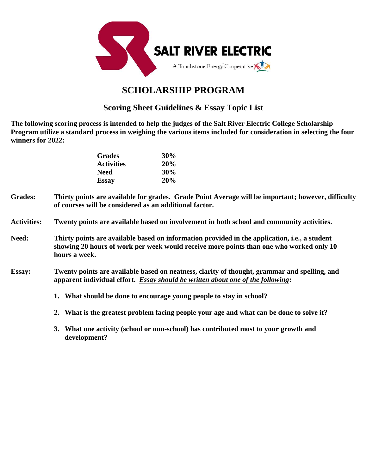

## **SCHOLARSHIP PROGRAM**

### **Scoring Sheet Guidelines & Essay Topic List**

**The following scoring process is intended to help the judges of the Salt River Electric College Scholarship Program utilize a standard process in weighing the various items included for consideration in selecting the four winners for 2022:**

| <b>Grades</b>     | 30%        |
|-------------------|------------|
| <b>Activities</b> | 20%        |
| <b>Need</b>       | 30%        |
| <b>Essay</b>      | <b>20%</b> |

**Grades: Thirty points are available for grades. Grade Point Average will be important; however, difficulty of courses will be considered as an additional factor.**

#### **Activities: Twenty points are available based on involvement in both school and community activities.**

- **Need: Thirty points are available based on information provided in the application, i.e., a student showing 20 hours of work per week would receive more points than one who worked only 10 hours a week.**
- **Essay: Twenty points are available based on neatness, clarity of thought, grammar and spelling, and apparent individual effort.** *Essay should be written about one of the following***:**
	- **1. What should be done to encourage young people to stay in school?**
	- **2. What is the greatest problem facing people your age and what can be done to solve it?**
	- **3. What one activity (school or non-school) has contributed most to your growth and development?**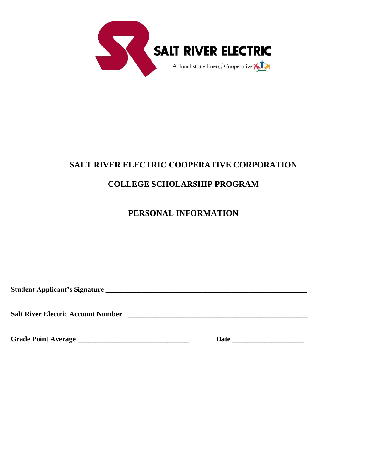

# **SALT RIVER ELECTRIC COOPERATIVE CORPORATION COLLEGE SCHOLARSHIP PROGRAM**

**PERSONAL INFORMATION**

**Student Applicant's Signature \_\_\_\_\_\_\_\_\_\_\_\_\_\_\_\_\_\_\_\_\_\_\_\_\_\_\_\_\_\_\_\_\_\_\_\_\_\_\_\_\_\_\_\_\_\_\_\_\_\_\_\_\_\_\_\_**

**Salt River Electric Account Number \_\_\_\_\_\_\_\_\_\_\_\_\_\_\_\_\_\_\_\_\_\_\_\_\_\_\_\_\_\_\_\_\_\_\_\_\_\_\_\_\_\_\_\_\_\_\_\_\_\_**

**Grade Point Average \_\_\_\_\_\_\_\_\_\_\_\_\_\_\_\_\_\_\_\_\_\_\_\_\_\_\_\_\_\_\_ Date \_\_\_\_\_\_\_\_\_\_\_\_\_\_\_\_\_\_\_\_**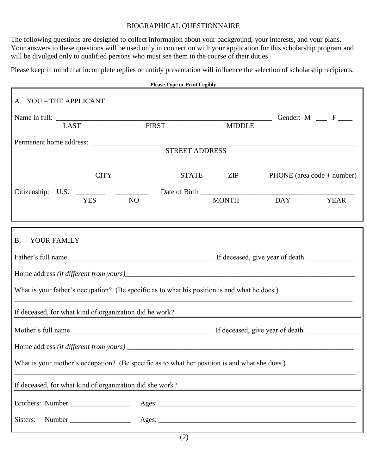#### BIOGRAPHICAL QUESTIONNAIRE

The following questions are designed to collect information about your background, your interests, and your plans. Your answers to these questions will be used only in connection with your application for this scholarship program and will be divulged only to qualified persons who must see them in the course of their duties.

Please keep in mind that incomplete replies or untidy presentation will influence the selection of scholarship recipients.

|                                                                                               |              | <b>Please Type or Print Legibly</b> |               |                |                            |
|-----------------------------------------------------------------------------------------------|--------------|-------------------------------------|---------------|----------------|----------------------------|
| A. YOU - THE APPLICANT                                                                        |              |                                     |               |                |                            |
| <b>LAST</b>                                                                                   | <b>FIRST</b> |                                     | <b>MIDDLE</b> |                |                            |
|                                                                                               |              |                                     |               |                |                            |
|                                                                                               |              | <b>STREET ADDRESS</b>               |               |                |                            |
| <b>CITY</b><br>Citizenship: U.S. $\_\_$                                                       |              | <b>STATE</b>                        | ZIP           |                | PHONE (area code + number) |
| <b>YES</b>                                                                                    | NO           |                                     |               | MONTH DAY YEAR |                            |
|                                                                                               |              |                                     |               |                |                            |
|                                                                                               |              |                                     |               |                |                            |
| <b>B.</b><br>YOUR FAMILY                                                                      |              |                                     |               |                |                            |
|                                                                                               |              |                                     |               |                |                            |
|                                                                                               |              |                                     |               |                |                            |
| What is your father's occupation? (Be specific as to what his position is and what he does.)  |              |                                     |               |                |                            |
| If deceased, for what kind of organization did he work?                                       |              |                                     |               |                |                            |
|                                                                                               |              |                                     |               |                |                            |
| Home address (if different from yours)                                                        |              |                                     |               |                |                            |
| What is your mother's occupation? (Be specific as to what her position is and what she does.) |              |                                     |               |                |                            |
| If deceased, for what kind of organization did she work?                                      |              |                                     |               |                |                            |
|                                                                                               |              |                                     |               |                |                            |
| Sisters:                                                                                      |              |                                     |               |                |                            |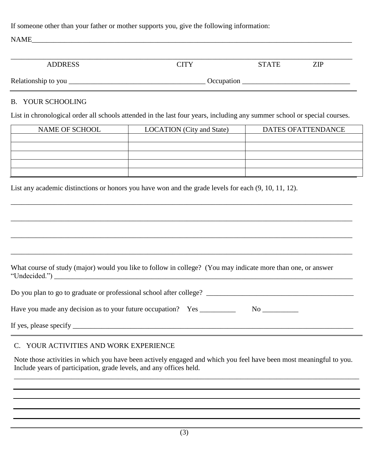If someone other than your father or mother supports you, give the following information:

NAME\_\_\_\_\_\_\_\_\_\_\_\_\_\_\_\_\_\_\_\_\_\_\_\_\_\_\_\_\_\_\_\_\_\_\_\_\_\_\_\_\_\_\_\_\_\_\_\_\_\_\_\_\_\_\_\_\_\_\_\_\_\_\_\_\_\_\_\_\_\_\_\_\_\_\_\_\_\_\_\_\_\_\_\_\_\_\_\_\_

| <b>ADDRESS</b>      | CITY       | <b>STATE</b> | ZIP |  |
|---------------------|------------|--------------|-----|--|
| Relationship to you | Occupation |              |     |  |

### B. YOUR SCHOOLING

List in chronological order all schools attended in the last four years, including any summer school or special courses.

| NAME OF SCHOOL | <b>LOCATION</b> (City and State) | <b>DATES OFATTENDANCE</b> |
|----------------|----------------------------------|---------------------------|
|                |                                  |                           |
|                |                                  |                           |
|                |                                  |                           |
|                |                                  |                           |
|                |                                  |                           |

\_\_\_\_\_\_\_\_\_\_\_\_\_\_\_\_\_\_\_\_\_\_\_\_\_\_\_\_\_\_\_\_\_\_\_\_\_\_\_\_\_\_\_\_\_\_\_\_\_\_\_\_\_\_\_\_\_\_\_\_\_\_\_\_\_\_\_\_\_\_\_\_\_\_\_\_\_\_\_\_\_\_\_\_\_\_\_\_\_\_\_\_\_\_\_

\_\_\_\_\_\_\_\_\_\_\_\_\_\_\_\_\_\_\_\_\_\_\_\_\_\_\_\_\_\_\_\_\_\_\_\_\_\_\_\_\_\_\_\_\_\_\_\_\_\_\_\_\_\_\_\_\_\_\_\_\_\_\_\_\_\_\_\_\_\_\_\_\_\_\_\_\_\_\_\_\_\_\_\_\_\_\_\_\_\_\_\_\_\_\_

\_\_\_\_\_\_\_\_\_\_\_\_\_\_\_\_\_\_\_\_\_\_\_\_\_\_\_\_\_\_\_\_\_\_\_\_\_\_\_\_\_\_\_\_\_\_\_\_\_\_\_\_\_\_\_\_\_\_\_\_\_\_\_\_\_\_\_\_\_\_\_\_\_\_\_\_\_\_\_\_\_\_\_\_\_\_\_\_\_\_\_\_\_\_\_

List any academic distinctions or honors you have won and the grade levels for each (9, 10, 11, 12).

| What course of study (major) would you like to follow in college? (You may indicate more than one, or answer<br>"Undecided.") $\qquad \qquad$ |  |
|-----------------------------------------------------------------------------------------------------------------------------------------------|--|
| Do you plan to go to graduate or professional school after college?                                                                           |  |
| Have you made any decision as to your future occupation? Yes _________                                                                        |  |
|                                                                                                                                               |  |

## C. YOUR ACTIVITIES AND WORK EXPERIENCE

Note those activities in which you have been actively engaged and which you feel have been most meaningful to you. Include years of participation, grade levels, and any offices held. \_\_\_\_\_\_\_\_\_\_\_\_\_\_\_\_\_\_\_\_\_\_\_\_\_\_\_\_\_\_\_\_\_\_\_\_\_\_\_\_\_\_\_\_\_\_\_\_\_\_\_\_\_\_\_\_\_\_\_\_\_\_\_\_\_\_\_\_\_\_\_\_\_\_\_\_\_\_\_\_\_\_\_\_\_\_\_\_\_\_\_\_\_\_\_\_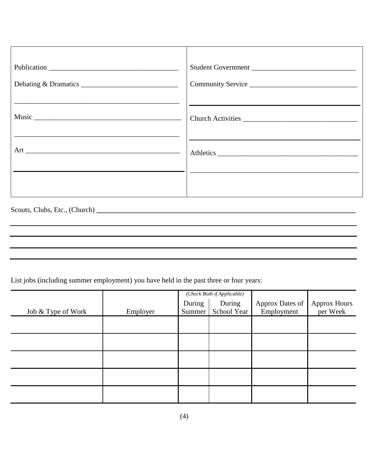| Student Government |
|--------------------|
|                    |
|                    |
|                    |
|                    |

List jobs (including summer employment) you have held in the past three or four years:

|                    |          |        | (Check Both if Applicable) |                 |              |
|--------------------|----------|--------|----------------------------|-----------------|--------------|
|                    |          | During | During                     | Approx Dates of | Approx Hours |
| Job & Type of Work | Employer | Summer | School Year                | Employment      | per Week     |
|                    |          |        |                            |                 |              |
|                    |          |        |                            |                 |              |
|                    |          |        |                            |                 |              |
|                    |          |        |                            |                 |              |
|                    |          |        |                            |                 |              |
|                    |          |        |                            |                 |              |
|                    |          |        |                            |                 |              |
|                    |          |        |                            |                 |              |
|                    |          |        |                            |                 |              |
|                    |          |        |                            |                 |              |